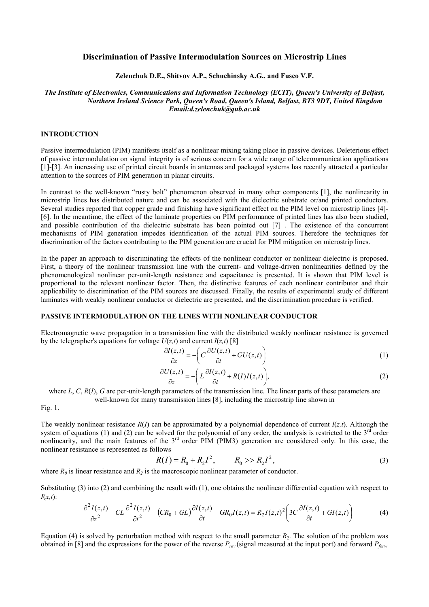# Discrimination of Passive Intermodulation Sources on Microstrip Lines

### Zelenchuk D.E., Shitvov A.P., Schuchinsky A.G., and Fusco V.F.

# The Institute of Electronics, Communications and Information Technology (ECIT), Queen's University of Belfast, Northern Ireland Science Park, Queen's Road, Queen's Island, Belfast, BT3 9DT, United Kingdom Email:d.zelenchuk@qub.ac.uk

## INTRODUCTION

Passive intermodulation (PIM) manifests itself as a nonlinear mixing taking place in passive devices. Deleterious effect of passive intermodulation on signal integrity is of serious concern for a wide range of telecommunication applications [1]-[3]. An increasing use of printed circuit boards in antennas and packaged systems has recently attracted a particular attention to the sources of PIM generation in planar circuits.

In contrast to the well-known "rusty bolt" phenomenon observed in many other components [1], the nonlinearity in microstrip lines has distributed nature and can be associated with the dielectric substrate or/and printed conductors. Several studies reported that copper grade and finishing have significant effect on the PIM level on microstrip lines [4]- [6]. In the meantime, the effect of the laminate properties on PIM performance of printed lines has also been studied, and possible contribution of the dielectric substrate has been pointed out [7]. The existence of the concurrent mechanisms of PIM generation impedes identification of the actual PIM sources. Therefore the techniques for discrimination of the factors contributing to the PIM generation are crucial for PIM mitigation on microstrip lines.

In the paper an approach to discriminating the effects of the nonlinear conductor or nonlinear dielectric is proposed. First, a theory of the nonlinear transmission line with the current- and voltage-driven nonlinearities defined by the phenomenological nonlinear per-unit-length resistance and capacitance is presented. It is shown that PIM level is proportional to the relevant nonlinear factor. Then, the distinctive features of each nonlinear contributor and their applicability to discrimination of the PIM sources are discussed. Finally, the results of experimental study of different laminates with weakly nonlinear conductor or dielectric are presented, and the discrimination procedure is verified.

## PASSIVE INTERMODULATION ON THE LINES WITH NONLINEAR CONDUCTOR

Electromagnetic wave propagation in a transmission line with the distributed weakly nonlinear resistance is governed by the telegrapher's equations for voltage  $U(z,t)$  and current  $I(z,t)$  [8]

$$
\frac{\partial I(z,t)}{\partial z} = -\left(C\frac{\partial U(z,t)}{\partial t} + GU(z,t)\right)
$$
\n(1)

$$
\frac{\partial U(z,t)}{\partial z} = -\bigg(L\frac{\partial I(z,t)}{\partial t} + R(I)I(z,t)\bigg),\tag{2}
$$

where  $L, C, R(I), G$  are per-unit-length parameters of the transmission line. The linear parts of these parameters are well-known for many transmission lines [8], including the microstrip line shown in

Fig. 1.

The weakly nonlinear resistance  $R(I)$  can be approximated by a polynomial dependence of current  $I(z,t)$ . Although the system of equations (1) and (2) can be solved for the polynomial of any order, the analysis is restricted to the  $3<sup>rd</sup>$  order nonlinearity, and the main features of the 3<sup>rd</sup> order PIM (PIM3) generation are considered only. In this case, the nonlinear resistance is represented as follows

$$
R(I) = R_0 + R_2 I^2, \qquad R_0 \gg R_2 I^2, \tag{3}
$$

where  $R_0$  is linear resistance and  $R_2$  is the macroscopic nonlinear parameter of conductor.

Substituting (3) into (2) and combining the result with (1), one obtains the nonlinear differential equation with respect to  $I(x,t)$ :

$$
\frac{\partial^2 I(z,t)}{\partial z^2} - CL \frac{\partial^2 I(z,t)}{\partial t^2} - (CR_0 + GL) \frac{\partial I(z,t)}{\partial t} - GR_0 I(z,t) = R_2 I(z,t)^2 \left( 3C \frac{\partial I(z,t)}{\partial t} + GI(z,t) \right) \tag{4}
$$

Equation (4) is solved by perturbation method with respect to the small parameter  $R_2$ . The solution of the problem was obtained in [8] and the expressions for the power of the reverse  $P_{rev}$  (signal measured at the input port) and forward  $P_{forw}$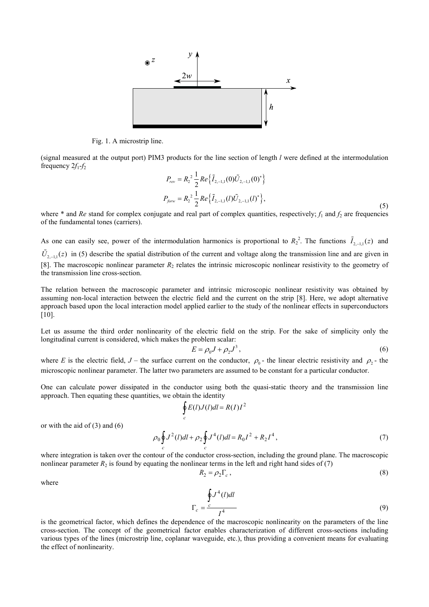

Fig. 1. A microstrip line.

(signal measured at the output port) PIM3 products for the line section of length l were defined at the intermodulation frequency  $2f_1-f_2$ 

$$
P_{rev} = R_2^2 \frac{1}{2} Re \{ \tilde{I}_{2,-1,1}(0) \tilde{U}_{2,-1,1}(0)^* \}
$$
  

$$
P_{jov} = R_2^2 \frac{1}{2} Re \{ \tilde{I}_{2,-1,1}(l) \tilde{U}_{2,-1,1}(l)^* \},
$$
 (5)

where  $*$  and Re stand for complex conjugate and real part of complex quantities, respectively;  $f_1$  and  $f_2$  are frequencies of the fundamental tones (carriers).

As one can easily see, power of the intermodulation harmonics is proportional to  $R_2^2$ . The functions  $\tilde{I}_{2,-1,1}(z)$  and  $\tilde{U}_{2,-1,1}(z)$  in (5) describe the spatial distribution of the current and voltage along the transmission line and are given in [8]. The macroscopic nonlinear parameter  $R_2$  relates the intrinsic microscopic nonlinear resistivity to the geometry of the transmission line cross-section.

The relation between the macroscopic parameter and intrinsic microscopic nonlinear resistivity was obtained by assuming non-local interaction between the electric field and the current on the strip [8]. Here, we adopt alternative approach based upon the local interaction model applied earlier to the study of the nonlinear effects in superconductors [10].

Let us assume the third order nonlinearity of the electric field on the strip. For the sake of simplicity only the longitudinal current is considered, which makes the problem scalar:

$$
E = \rho_0 J + \rho_2 J^3, \qquad (6)
$$

where E is the electric field,  $J$  – the surface current on the conductor,  $\rho_0$  – the linear electric resistivity and  $\rho_2$  – the microscopic nonlinear parameter. The latter two parameters are assumed to be constant for a particular conductor.

One can calculate power dissipated in the conductor using both the quasi-static theory and the transmission line approach. Then equating these quantities, we obtain the identity

$$
\oint_{c} E(l)J(l)dl = R(I)I^{2}
$$
\n
$$
\rho_{0} \oint J^{2}(l)dl + \rho_{2} \oint J^{4}(l)dl = R_{0}I^{2} + R_{2}I^{4},
$$
\n(7)

 $c \qquad c$ where integration is taken over the contour of the conductor cross-section, including the ground plane. The macroscopic nonlinear parameter  $R_2$  is found by equating the nonlinear terms in the left and right hand sides of (7)

 $\boldsymbol{0}$ 

$$
R_2 = \rho_2 \Gamma_c \,,\tag{8}
$$

where

or with the aid of (3) and (6)

$$
\Gamma_c = \frac{\oint c^4 (l) dl}{I^4} \tag{9}
$$

is the geometrical factor, which defines the dependence of the macroscopic nonlinearity on the parameters of the line cross-section. The concept of the geometrical factor enables characterization of different cross-sections including various types of the lines (microstrip line, coplanar waveguide, etc.), thus providing a convenient means for evaluating the effect of nonlinearity.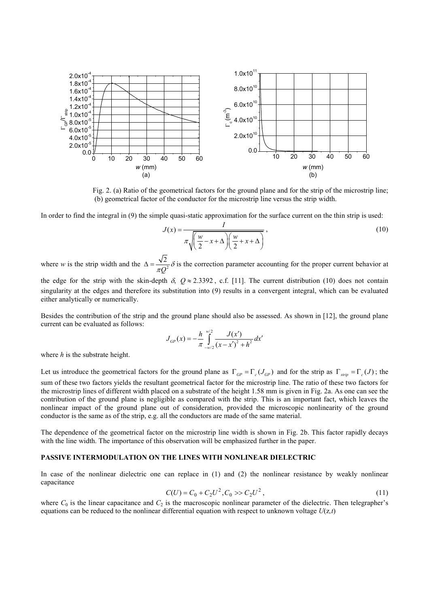

Fig. 2. (a) Ratio of the geometrical factors for the ground plane and for the strip of the microstrip line; (b) geometrical factor of the conductor for the microstrip line versus the strip width.

In order to find the integral in (9) the simple quasi-static approximation for the surface current on the thin strip is used:

$$
J(x) = \frac{I}{\pi \sqrt{\left(\frac{w}{2} - x + \Delta\right) \left(\frac{w}{2} + x + \Delta\right)}},\tag{10}
$$

where w is the strip width and the  $\Delta = \frac{\sqrt{2}}{\pi Q^2}$  $\Delta = \frac{\sqrt{2}}{\pi Q^2} \delta$  is the correction parameter accounting for the proper current behavior at

the edge for the strip with the skin-depth  $\delta$ ,  $Q \approx 2.3392$ , c.f. [11]. The current distribution (10) does not contain singularity at the edges and therefore its substitution into (9) results in a convergent integral, which can be evaluated either analytically or numerically.

Besides the contribution of the strip and the ground plane should also be assessed. As shown in [12], the ground plane current can be evaluated as follows:

$$
J_{GP}(x) = -\frac{h}{\pi} \int_{-w/2}^{w/2} \frac{J(x')}{(x - x')^2 + h^2} dx'
$$

where  $h$  is the substrate height.

Let us introduce the geometrical factors for the ground plane as  $\Gamma_{GP} = \Gamma_c (J_{GP})$  and for the strip as  $\Gamma_{strip} = \Gamma_c (J)$ ; the sum of these two factors yields the resultant geometrical factor for the microstrip line. The ratio of these two factors for the microstrip lines of different width placed on a substrate of the height 1.58 mm is given in Fig. 2a. As one can see the contribution of the ground plane is negligible as compared with the strip. This is an important fact, which leaves the nonlinear impact of the ground plane out of consideration, provided the microscopic nonlinearity of the ground conductor is the same as of the strip, e.g. all the conductors are made of the same material.

The dependence of the geometrical factor on the microstrip line width is shown in Fig. 2b. This factor rapidly decays with the line width. The importance of this observation will be emphasized further in the paper.

## PASSIVE INTERMODULATION ON THE LINES WITH NONLINEAR DIELECTRIC

In case of the nonlinear dielectric one can replace in (1) and (2) the nonlinear resistance by weakly nonlinear capacitance

$$
C(U) = C_0 + C_2 U^2, C_0 \gg C_2 U^2,
$$
\n(11)

where  $C_0$  is the linear capacitance and  $C_2$  is the macroscopic nonlinear parameter of the dielectric. Then telegrapher's equations can be reduced to the nonlinear differential equation with respect to unknown voltage  $U(z,t)$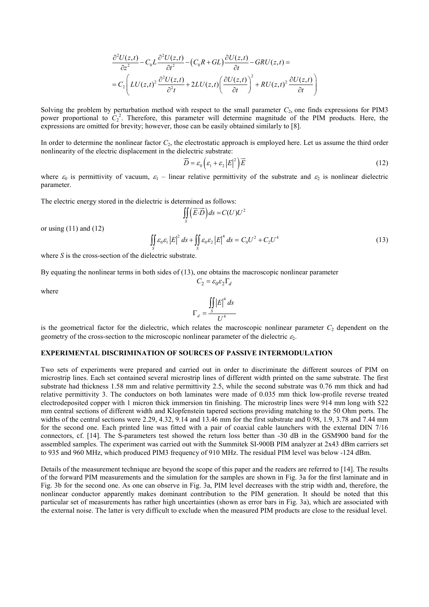$$
\frac{\partial^2 U(z,t)}{\partial z^2} - C_0 L \frac{\partial^2 U(z,t)}{\partial t^2} - (C_0 R + GL) \frac{\partial U(z,t)}{\partial t} - GRU(z,t) =
$$
\n
$$
= C_2 \left( LU(z,t)^2 \frac{\partial^2 U(z,t)}{\partial t^2} + 2LU(z,t) \left( \frac{\partial U(z,t)}{\partial t} \right)^2 + RU(z,t)^2 \frac{\partial U(z,t)}{\partial t} \right)
$$

Solving the problem by perturbation method with respect to the small parameter  $C_2$ , one finds expressions for PIM3 power proportional to  $C_2^2$ . Therefore, this parameter will determine magnitude of the PIM products. Here, the expressions are omitted for brevity; however, those can be easily obtained similarly to [8].

In order to determine the nonlinear factor  $C_2$ , the electrostatic approach is employed here. Let us assume the third order nonlinearity of the electric displacement in the dielectric substrate:

$$
\overrightarrow{D} = \varepsilon_0 \left( \varepsilon_1 + \varepsilon_2 \left| E \right|^2 \right) \overrightarrow{E}
$$
 (12)

where  $\varepsilon_0$  is permittivity of vacuum,  $\varepsilon_1$  – linear relative permittivity of the substrate and  $\varepsilon_2$  is nonlinear dielectric parameter.

The electric energy stored in the dielectric is determined as follows:<br>  $\iint (\vec{E} \cdot \vec{D}) ds = C(U)U$ 

 $C_2 = \varepsilon_0 \varepsilon_2 \Gamma_d$ 

$$
\iint\limits_{S} \left( \overrightarrow{E \cdot D} \right) ds = C(U)U^2
$$

or using  $(11)$  and  $(12)$ 

$$
\iint_{S} \varepsilon_0 \varepsilon_1 \left| E \right|^2 ds + \iint_{S} \varepsilon_0 \varepsilon_2 \left| E \right|^4 ds = C_0 U^2 + C_2 U^4 \tag{13}
$$

where S is the cross-section of the dielectric substrate.

By equating the nonlinear terms in both sides of (13), one obtains the macroscopic nonlinear parameter

where

$$
\Gamma_d = \frac{\iint |E|^4 ds}{U^4}
$$

is the geometrical factor for the dielectric, which relates the macroscopic nonlinear parameter  $C<sub>2</sub>$  dependent on the geometry of the cross-section to the microscopic nonlinear parameter of the dielectric  $\varepsilon_2$ .

# EXPERIMENTAL DISCRIMINATION OF SOURCES OF PASSIVE INTERMODULATION

Two sets of experiments were prepared and carried out in order to discriminate the different sources of PIM on microstrip lines. Each set contained several microstrip lines of different width printed on the same substrate. The first substrate had thickness 1.58 mm and relative permittivity 2.5, while the second substrate was 0.76 mm thick and had relative permittivity 3. The conductors on both laminates were made of 0.035 mm thick low-profile reverse treated electrodeposited copper with 1 micron thick immersion tin finishing. The microstrip lines were 914 mm long with 522 mm central sections of different width and Klopfenstein tapered sections providing matching to the 50 Ohm ports. The widths of the central sections were 2.29, 4.32, 9.14 and 13.46 mm for the first substrate and 0.98, 1.9, 3.78 and 7.44 mm for the second one. Each printed line was fitted with a pair of coaxial cable launchers with the external DIN 7/16 connectors, cf. [14]. The S-parameters test showed the return loss better than -30 dB in the GSM900 band for the assembled samples. The experiment was carried out with the Summitek SI-900B PIM analyzer at 2x43 dBm carriers set to 935 and 960 MHz, which produced PIM3 frequency of 910 MHz. The residual PIM level was below -124 dBm.

Details of the measurement technique are beyond the scope of this paper and the readers are referred to [14]. The results of the forward PIM measurements and the simulation for the samples are shown in Fig. 3a for the first laminate and in Fig. 3b for the second one. As one can observe in Fig. 3a, PIM level decreases with the strip width and, therefore, the nonlinear conductor apparently makes dominant contribution to the PIM generation. It should be noted that this particular set of measurements has rather high uncertainties (shown as error bars in Fig. 3a), which are associated with the external noise. The latter is very difficult to exclude when the measured PIM products are close to the residual level.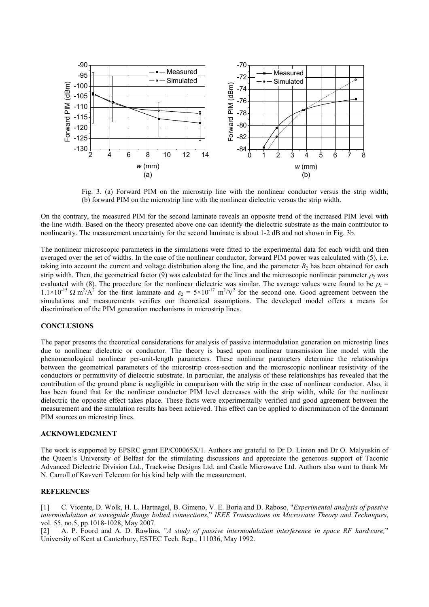

 Fig. 3. (a) Forward PIM on the microstrip line with the nonlinear conductor versus the strip width; (b) forward PIM on the microstrip line with the nonlinear dielectric versus the strip width.

On the contrary, the measured PIM for the second laminate reveals an opposite trend of the increased PIM level with the line width. Based on the theory presented above one can identify the dielectric substrate as the main contributor to nonlinearity. The measurement uncertainty for the second laminate is about 1-2 dB and not shown in Fig. 3b.

The nonlinear microscopic parameters in the simulations were fitted to the experimental data for each width and then averaged over the set of widths. In the case of the nonlinear conductor, forward PIM power was calculated with (5), i.e. taking into account the current and voltage distribution along the line, and the parameter  $R_2$  has been obtained for each strip width. Then, the geometrical factor (9) was calculated for the lines and the microscopic nonlinear parameter  $\rho_2$  was evaluated with (8). The procedure for the nonlinear dielectric was similar. The average values were found to be  $\rho_2$  =  $1.1\times10^{-15}$   $\Omega$  m<sup>2</sup>/A<sup>2</sup> for the first laminate and  $\varepsilon_2 = 5\times10^{-17}$  m<sup>2</sup>/V<sup>2</sup> for the second one. Good agreement between the simulations and measurements verifies our theoretical assumptions. The developed model offers a means for discrimination of the PIM generation mechanisms in microstrip lines.

#### **CONCLUSIONS**

The paper presents the theoretical considerations for analysis of passive intermodulation generation on microstrip lines due to nonlinear dielectric or conductor. The theory is based upon nonlinear transmission line model with the phenomenological nonlinear per-unit-length parameters. These nonlinear parameters determine the relationships between the geometrical parameters of the microstrip cross-section and the microscopic nonlinear resistivity of the conductors or permittivity of dielectric substrate. In particular, the analysis of these relationships has revealed that the contribution of the ground plane is negligible in comparison with the strip in the case of nonlinear conductor. Also, it has been found that for the nonlinear conductor PIM level decreases with the strip width, while for the nonlinear dielectric the opposite effect takes place. These facts were experimentally verified and good agreement between the measurement and the simulation results has been achieved. This effect can be applied to discrimination of the dominant PIM sources on microstrip lines.

# ACKNOWLEDGMENT

The work is supported by EPSRC grant EP/C00065X/1. Authors are grateful to Dr D. Linton and Dr O. Malyuskin of the Queen's University of Belfast for the stimulating discussions and appreciate the generous support of Taconic Advanced Dielectric Division Ltd., Trackwise Designs Ltd. and Castle Microwave Ltd. Authors also want to thank Mr N. Carroll of Kavveri Telecom for his kind help with the measurement.

## **REFERENCES**

[1] C. Vicente, D. Wolk, H. L. Hartnagel, B. Gimeno, V. E. Boria and D. Raboso, "Experimental analysis of passive intermodulation at waveguide flange bolted connections," IEEE Transactions on Microwave Theory and Techniques, vol. 55, no.5, pp.1018-1028, May 2007.

[2] A. P. Foord and A. D. Rawlins, "A study of passive intermodulation interference in space RF hardware," University of Kent at Canterbury, ESTEC Tech. Rep., 111036, May 1992.